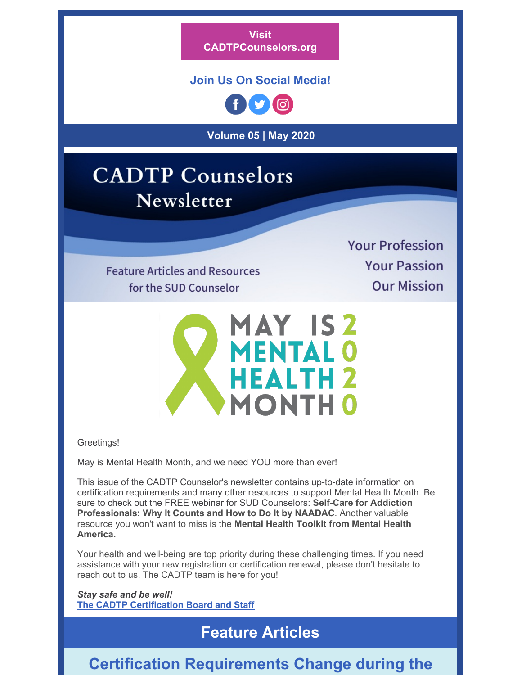**Visit [CADTPCounselors.org](https://cadtpcounselors.org/)**

### **Join Us On Social Media!**



**Volume 05 | May 2020**

# **CADTP** Counselors Newsletter

**Feature Articles and Resources** 

for the SUD Counselor

**Your Profession Your Passion Our Mission** 



Greetings!

May is Mental Health Month, and we need YOU more than ever!

This issue of the CADTP Counselor's newsletter contains up-to-date information on certification requirements and many other resources to support Mental Health Month. Be sure to check out the FREE webinar for SUD Counselors: **Self-Care for Addiction Professionals: Why It Counts and How to Do It by NAADAC**. Another valuable resource you won't want to miss is the **Mental Health Toolkit from Mental Health America.**

Your health and well-being are top priority during these challenging times. If you need assistance with your new registration or certification renewal, please don't hesitate to reach out to us. The CADTP team is here for you!

*Stay safe and be well!* **The CADTP [Certification](https://cadtpcounselors.org/cadtp-leadership/) Board and Staff**

### **Feature Articles**

### **Certification Requirements Change during the**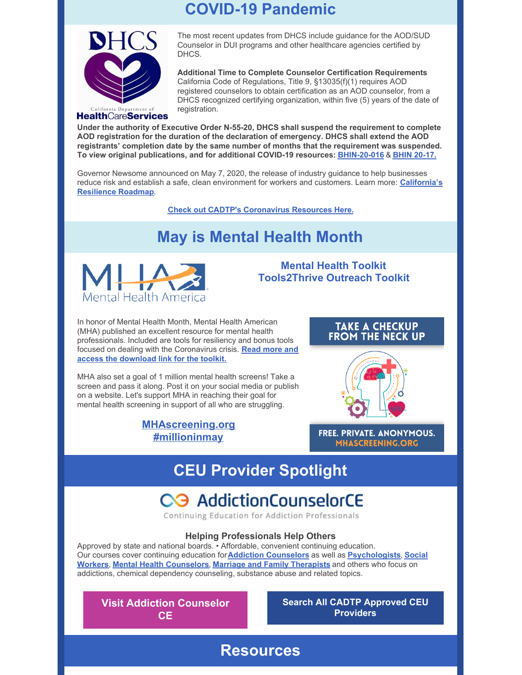### **COVID-19 Pandemic**



#### **HealthCareServices**

The most recent updates from DHCS include guidance for the AOD/SUD Counselor in DUI programs and other healthcare agencies certified by DHCS.

**Additional Time to Complete Counselor Certification Requirements** California Code of Regulations, Title 9, §13035(f)(1) requires AOD registered counselors to obtain certification as an AOD counselor, from a DHCS recognized certifying organization, within five (5) years of the date of registration.

**Under the authority of Executive Order N-55-20, DHCS shall suspend the requirement to complete AOD registration for the duration of the declaration of emergency. DHCS shall extend the AOD registrants' completion date by the same number of months that the requirement was suspended. To view original publications, and for additional COVID-19 resources: [BHIN-20-016](https://cadtpcounselors.org/wp-content/uploads/2020/04/BHIN-20-016-Driving-Under-the-Influence-Program-and-FAQs.pdf)** & **BHIN [20-17.](https://cadtpcounselors.org/wp-content/uploads/2020/04/BHIN-20-017-Alcohol-and-Other-Drug-Facilities.pdf)**

Governor Newsome announced on May 7, 2020, the release of industry guidance to help businesses reduce risk and establish a safe, clean [environment](https://covid19.ca.gov/roadmap/) for workers and customers. Learn more: **California's Resilience Roadmap**.

**Check out CADTP's [Coronavirus](https://cadtpcounselors.org/coronavirus-resources/) Resources Here.**

### **May is Mental Health Month**



**Mental Health Toolkit Tools2Thrive Outreach Toolkit**

In honor of Mental Health Month, Mental Health American (MHA) published an excellent resource for mental health professionals. Included are tools for resiliency and bonus tools focused on dealing with the [Coronavirus](https://cadtpcounselors.org/may-is-mental-health-month/) crisis. **Read more and access the download link for the toolkit.**

MHA also set a goal of 1 million mental health screens! Take a screen and pass it along. Post it on your social media or publish on a website. Let's support MHA in reaching their goal for mental health screening in support of all who are struggling.

> **[MHAscreening.org](https://mhascreening.org) [#millioninmay](https://twitter.com/hashtag/millioninmay)**





FREE. PRIVATE. ANONYMOUS. **MHASCREENING.ORG** 

## **CEU Provider Spotlight**

# C<sub>3</sub> AddictionCounselorCE

Continuing Education for Addiction Professionals

#### **Helping Professionals Help Others**

**Resources**

Approved by state and national boards. • Affordable, convenient continuing education. Our courses cover continuing education for**Addiction [Counselors](https://www.addictioncounselorce.com/approvals/#NAADAC)** as well as **[Psychologist](https://www.addictioncounselorce.com/approvals/?#APA)[s](https://www.addictioncounselorce.com/approvals/?#ASWB)**, **Social Workers**, **Mental Health [Counselors](https://www.addictioncounselorce.com/approvals/?#NBCC)**, **Marriage and Family [Therapists](https://www.addictioncounselorce.com/approvals)** and others who focus on addictions, chemical dependency counseling, substance abuse and related topics.

**Visit Addiction [Counselor](https://www.addictioncounselorce.com/) CE**

#### **Search All CADTP [Approved](https://cadtpcounselors.org/ceu-providers/) CEU Providers**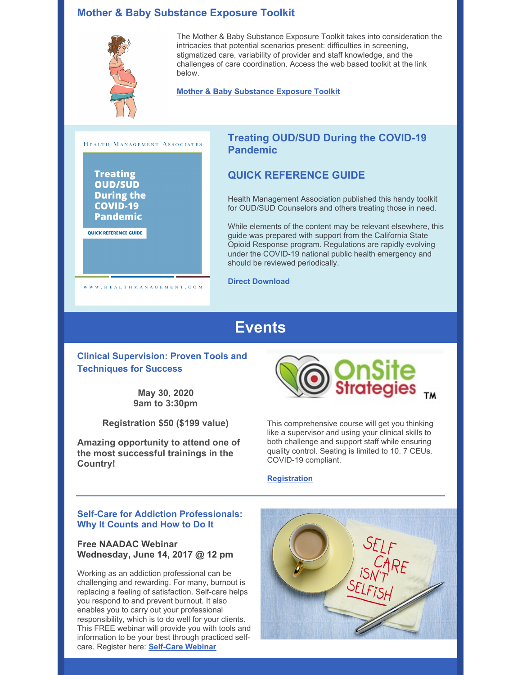#### **Mother & Baby Substance Exposure Toolkit**



The Mother & Baby Substance Exposure Toolkit takes into consideration the intricacies that potential scenarios present: difficulties in screening, stigmatized care, variability of provider and staff knowledge, and the challenges of care coordination. Access the web based toolkit at the link below.

**Mother & Baby [Substance](https://nastoolkit.org/) Exposure Toolkit**



WWW.HEALTHMANAGEMENT.COM

#### **Treating OUD/SUD During the COVID-19 Pandemic**

#### **QUICK REFERENCE GUIDE**

Health Management Association published this handy toolkit for OUD/SUD Counselors and others treating those in need.

While elements of the content may be relevant elsewhere, this guide was prepared with support from the California State Opioid Response program. Regulations are rapidly evolving under the COVID-19 national public health emergency and should be reviewed periodically.

**Direct [Download](https://files.constantcontact.com/33f12ce8201/f81ec422-0002-40dc-a4f2-7652f0847925.pdf)**

### **Events**

**Clinical Supervision: Proven Tools and Techniques for Success**

> **May 30, 2020 9am to 3:30pm**

**Registration \$50 (\$199 value)**

**Amazing opportunity to attend one of the most successful trainings in the Country!**



This comprehensive course will get you thinking like a supervisor and using your clinical skills to both challenge and support staff while ensuring quality control. Seating is limited to 10. 7 CEUs. COVID-19 compliant.

#### **[Registration](https://cadtpcounselors.org/event/clinical-supervision-proven-tools-and-techniques-for-success/2020-05-30/)**

#### **Self-Care for Addiction Professionals: Why It Counts and How to Do It**

#### **Free NAADAC Webinar Wednesday, June 14, 2017 @ 12 pm**

Working as an addiction professional can be challenging and rewarding. For many, burnout is replacing a feeling of satisfaction. Self-care helps you respond to and prevent burnout. It also enables you to carry out your professional responsibility, which is to do well for your clients. This FREE webinar will provide you with tools and information to be your best through practiced selfcare. Register here: **[Self-Care](https://www.naadac.org/self-care-for-addiction-professionals-webinar) Webinar**

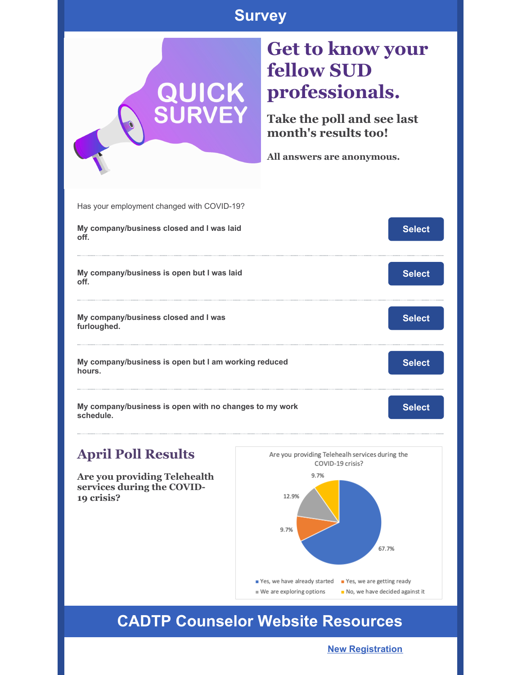### **Survey**



### **April Poll Results**

**Are you providing Telehealth services during the COVID-19 crisis?**



### **CADTP Counselor Website Resources**

**New [Registration](https://cadtpcounselors.org/new-sud-counselors/)**